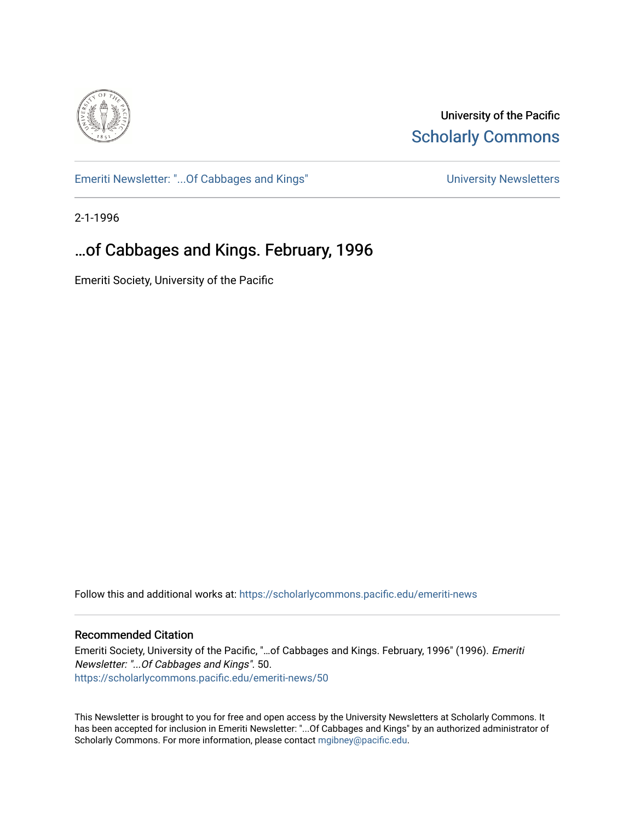

University of the Pacific **Scholarly Commons** 

[Emeriti Newsletter: "...Of Cabbages and Kings"](https://scholarlycommons.pacific.edu/emeriti-news) Newsletters University Newsletters

2-1-1996

### …of Cabbages and Kings. February, 1996

Emeriti Society, University of the Pacific

Follow this and additional works at: [https://scholarlycommons.pacific.edu/emeriti-news](https://scholarlycommons.pacific.edu/emeriti-news?utm_source=scholarlycommons.pacific.edu%2Femeriti-news%2F50&utm_medium=PDF&utm_campaign=PDFCoverPages)

#### Recommended Citation

Emeriti Society, University of the Pacific, "…of Cabbages and Kings. February, 1996" (1996). Emeriti Newsletter: "...Of Cabbages and Kings". 50. [https://scholarlycommons.pacific.edu/emeriti-news/50](https://scholarlycommons.pacific.edu/emeriti-news/50?utm_source=scholarlycommons.pacific.edu%2Femeriti-news%2F50&utm_medium=PDF&utm_campaign=PDFCoverPages) 

This Newsletter is brought to you for free and open access by the University Newsletters at Scholarly Commons. It has been accepted for inclusion in Emeriti Newsletter: "...Of Cabbages and Kings" by an authorized administrator of Scholarly Commons. For more information, please contact [mgibney@pacific.edu.](mailto:mgibney@pacific.edu)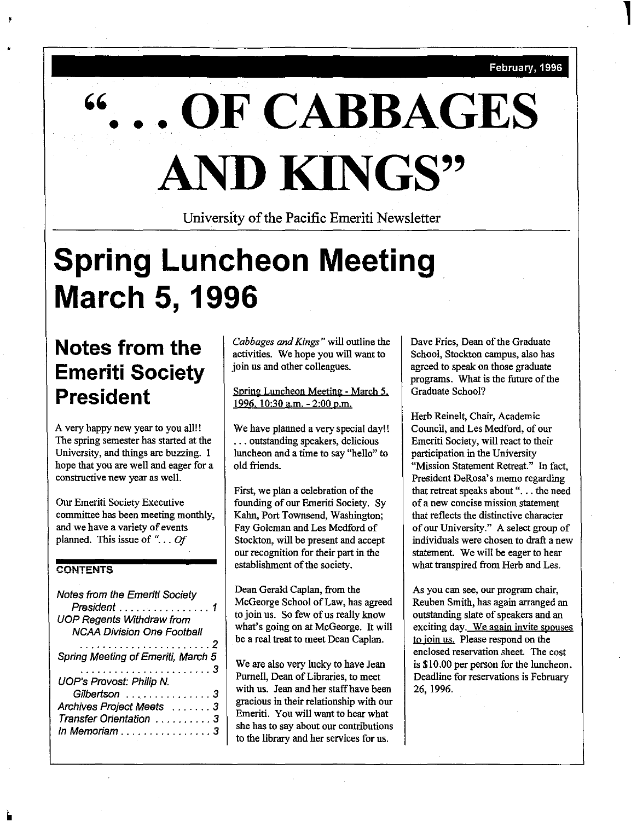February, 1996

**l** 

# **OF CABBAGES AND KINGS''**

University of the Pacific Emeriti Newsletter

# **Spring Luncheon Meeting March 5, 1996**

## **Notes from the Emeriti Society President**

A very happy new year to you all! ! The spring semester has started at the University, and things are buzzing. I hope that you are well and eager for a constructive new year as well.

Our Emeriti Society Executive committee has been meeting monthly, and we have a variety of events planned. This issue of " ... *Of* 

### **CONTENTS**

•

| Notes from the Emeriti Society<br>President 1<br><b>UOP Regents Withdraw from</b><br><b>NCAA Division One Football</b> |
|------------------------------------------------------------------------------------------------------------------------|
| . 2                                                                                                                    |
|                                                                                                                        |
| Spring Meeting of Emeriti, March 5                                                                                     |
| <b>UOP's Provost: Philip N.</b>                                                                                        |
|                                                                                                                        |
| Gilbertson 3                                                                                                           |
| Archives Project Meets 3                                                                                               |
| Transfer Orientation 3                                                                                                 |
| In Memoriam                                                                                                            |
|                                                                                                                        |

*Cabbages and Kings"* will outline the activities. We hope you will want to join us and other colleagues.

Spring Luncheon Meeting - March *5.*  1996, 10:30 a.m. - 2:00 p.m.

We have planned a very special day!! ... outstanding speakers, delicious **luncheon and a time to say "hello" to**  old friends.

First, we plan a celebration of the founding of our Emeriti Society. Sy Kahn, Port Townsend, Washington; Fay Goleman and Les Medford of Stockton, will be present and accept our recognition for their part in the establishment of the society.

Dean Gerald Caplan, from the McGeorge School of Law, has agreed to join us. So few of us really know what's going on at McGeorge. It will be a real treat to meet Dean Caplan.

We are also very lncky to have Jean Purnell, Dean of Libraries, to meet with us. Jean and her staff have been gracious in their relationship with our Emeriti. You will want to hear what she has to say about our contributions to the library and her services for us.

Dave Fries, Dean of the Graduate School, Stockton campus, also has agreed to speak on those graduate programs. What is the future of the Graduate School?

Herb Reinelt, Chair, Academic Council, and Les Medford, of our Emeriti Society, will react to their participation in the University "Mission Statement Retreat." In fact, President DeRosa's memo regarding that retreat speaks about "... the need **of a new concise mission statement**  that reflects the distinctive character of our University." A select group of individuals were chosen to draft a new statement. We will be eager to hear what transpired from Herb and Les.

As you can see, our program chair, Reuben Smith, has again arranged an outstanding slate of speakers and an **exciting day. We again invite spouses**  to join us. Please respond on the enclosed reservation sheet. The cost is \$10.00 per person for the luncheon. Deadline for reservations is February 26, 1996.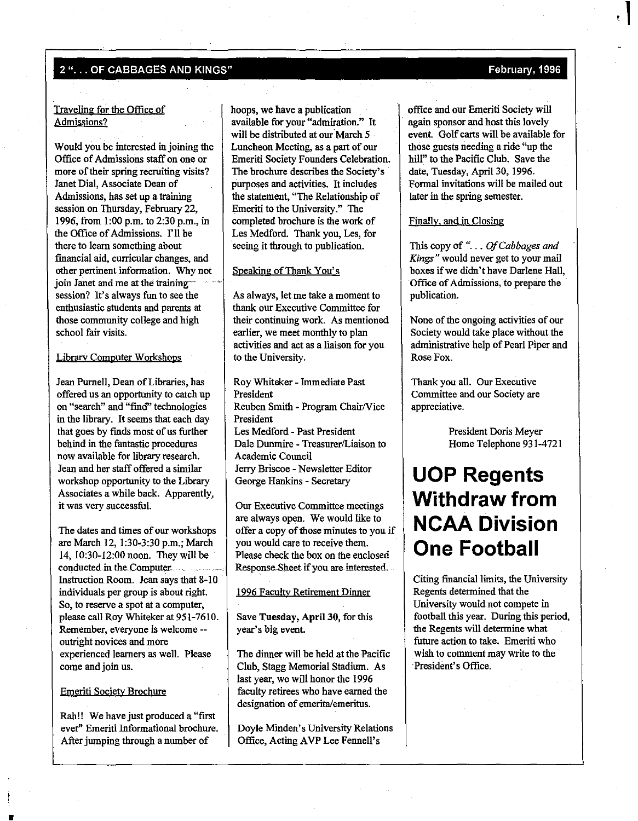#### 2"... OF CABBAGES AND KINGS" February, 1996

#### Traveling for the Office of Admissions?

Would you be interested in joining the Office of Admissions staff on one or more of their spring recruiting visits? Janet Dial, Associate Dean of Admissions, has set up a training session on Thursday, February 22, 1996, from 1:00 p.m. to 2:30 p.m., in the Office of Admissions. I'll be there to learn something about financial aid, curricular changes, and other pertinent information. Why not join Janet and me at the training session? It's always fun to see the enthusiastic students and parents at those community college and high school fair visits.

#### Librarv Computer Workshops

Jean Purnell, Dean of Libraries, has offered us an opportunity to catch up **on "search" and "Imd" technologies**  in the library. It seems that each day that goes by fmds most of us further behind in the fantastic procedures now available for library research. Jean and her staff offered a similar workshop opportunity to the Library Associates a while back. Apparently, it was very successful.

The dates and times of our workshops are March 12, 1:30-3:30 p.m.; March 14, 10:30-12:00 noon. They will be conducted in the Computer Instruction Room. Jean says that 8-10 individuals per group is about right. So, to reserve a spot at a computer, please call Roy Whiteker at 951-7610. **Remember, everyone is welcome** - outright novices and more experienced learners as well. Please come and join us.

#### Emeriti Societv Brochure

•

Rah!! We have just produced a "first ever" Emeriti Informational brochure. After jumping through a number of

hoops, we have a publication available for your "admiration." It will be distributed at our March 5 Luncheon Meeting, as a part of our Emeriti Society Founders Celebration. The brochure describes the Society's purposes and activities. It includes the statement, "The Relationship of Emeriti to the University." The completed brochure is the work of Les Medford. Thank you, Les, for seeing it through to publication.

### Speaking of Thank You's

As always, let me take a moment to thank our Executive Committee for their continuing work. As mentioned earlier, we meet monthly to plan activities and act as a liaison for you to the University.

Roy Whiteker - Immediate Past President Reuben Smith - Program Chair/Vice President Les Medford - Past President Dale Dunmire - Treasurer/Liaison to Academic Council Jerry Briscoe - Newsletter Editor George Hankins - Secretary

Our Executive Committee meetings are always open. We would like to offer a copy of those minutes to you if you would care to receive them. Please check the box on the enclosed Response-Sheet if you. are interested.

#### 1996 Faculty Retirement Dinner

Save Tuesday, April 30, for this year's big event.

The dinner will be held at the Pacific Club, Stagg Memorial Stadium. As last year, we will honor the 1996 faculty retirees who have earned the designation of emerita/emeritus.

Doyle Minden's University Relations Office, Acting A VP Lee Fennell's

office and our Emeriti Society will again sponsor and host this lovely event. Golf carts will be available for those guests needing a ride "up the hill" to the Pacific Club. Save the date, Tuesday, April 30, 1996. Formal invitations will be mailed out later in the spring semester.

#### Finally. and in Closing

This copy of "... *Of Cabbages and Kings"* would never get to your mail boxes if we didn't have Darlene Hall, Office of Admissions, to prepare the publication.

None of the ongoing activities of our Society would take place without the administrative help of Pearl Piper and Rose Fox.

Thank you all. Our Executive Committee and our Society are appreciative.

> President Doris Meyer Home Telephone 931-4721

### **UOP Regents Withdraw from NCAA Division One Football**

Citing financial limits, the University Regents determined that the University would not compete in football this year. During this period, the Regents will determine what future action to take. Emeriti who wish to comment may write to the President's Office.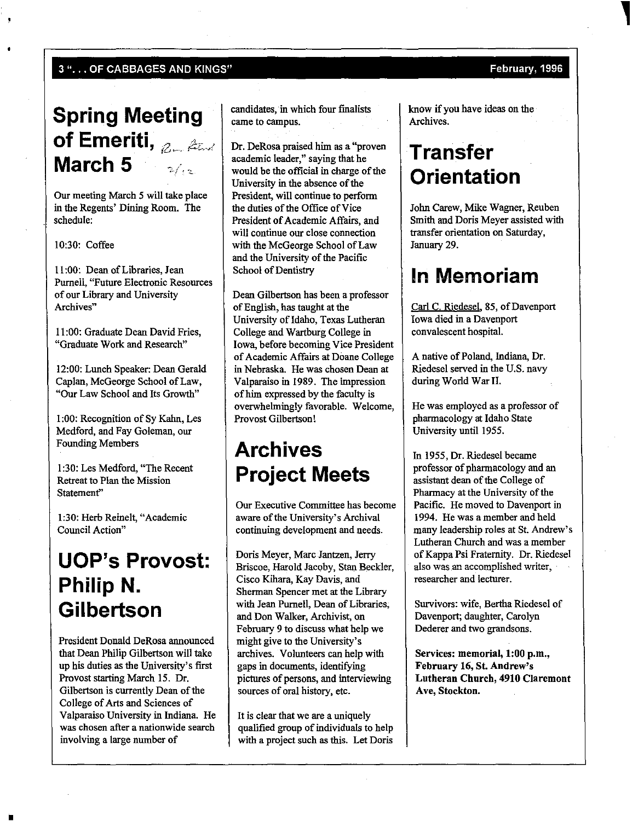#### 3 "... OF CABBAGES AND KINGS" February, 1996

### **Spring Meeting of Emeriti,** z~ *f'±t./*  **March 5**

Our meeting March 5 will take place in the Regents' Dining Room. The schedule:

10:30: Coffee

II :00: Dean of Libraries, Jean Purneli, "Future Electronic Resources of our Library and University **Archives"** 

II :00: Graduate Dean David Fries, "Graduate Work and Research"

12:00: Lunch Speaker: Dean Gerald Caplan, McGeorge School of Law, "Our Law School and Its Growth"

I :00: Recognition of Sy Kahn, Les Medford, and Fay Goleman, our Founding Members

1:30: Les Medford, "The Recent Retreat to Plan the Mission Statement"

1:30: Herb Reinelt, "Academic **Council Action"** 

### **UOP's Provost: Philip N. Gilbertson**

President Donald DeRosa announced that Dean Philip Gilbertson will take up his duties as the University's first Provost starting March 15. Dr. Gilbertson is currently Dean of the College of Arts and Sciences of Valparaiso University in Indiana. He **was chosen after a nationwide search**  involving a large number of

•

candidates, in which four finalists came to campus.

Dr. DeRosa praised him as a "proven academic leader," saying that he would be the official in charge of the University in the absence of the President, will continue to perform the duties of the Office of Vice President of Academic Affairs, and **will continue our close connection**  with the McGeorge School of Law and the University of the Pacific School of Dentistry

Dean Gilbertson has been a professor of English, has taught at the University of Idaho, Texas Lutheran College and Wartburg College in Iowa, before becoming Vice President of Academic Affairs at Doane College in Nebraska. He was chosen Dean at Valparaiso in 1989. The impression of him expressed by the faculty is overwhehningly favorable. Welcome, Provost Gilbertson!

### **Archives Project Meets**

Our Executive Committee has become aware of the University's Archival continuing development and needs.

Doris Meyer, Marc Jantzen, Jerry Briscoe, Harold Jacoby, Stan Beckler, Cisco Kihara, Kay Davis, and Sherman Spencer met at the Library with Jean Purnell, Dean of Libraries, and Don Walker, Archivist, on February 9 to discuss what help we might give to the University's archives. Volunteers can help with gaps in documents, identifying pictures of persons, and interviewing sources of oral history, etc.

It is clear that we are a uniquely qualified group of individuals to help with a project such as this. Let Doris

know if you have ideas on the Archives.

### **Transfer Orientation**

John Carew, Mike Wagner, Reuben Smith and Doris Meyer assisted with transfer orientation on Saturday, January 29.

### **In Memoriam**

Carl C. Riedesel, 85, of Davenport Iowa died in a Davenport convalescent hospital.

A native of Poland, Indiana, Dr. Riedesel served in the U.S. navy during World War II.

He was employed as a professor of pharmacology at Idaho State University until 1955.

In 1955, Dr. Riedesel became professor of pharmacology and an assistant dean of the College of Pharmacy at the University of the Pacific. He moved to Davenport in 1994. He was a member and held many leadership roles at St. Andrew's Lutheran Church and was a member of Kappa Psi Fraternity. Dr. Riedesel **also was an accomplished writer,**  researcher and lecturer.

Survivors: wife, Bertha Riedesel of Davenport; daughter, Carolyn Dederer and two grandsons.

Services: memorial, 1:00 p.m., February 16, St. Andrew's Lutheran Church, 4910 Claremont Ave, Stockton.